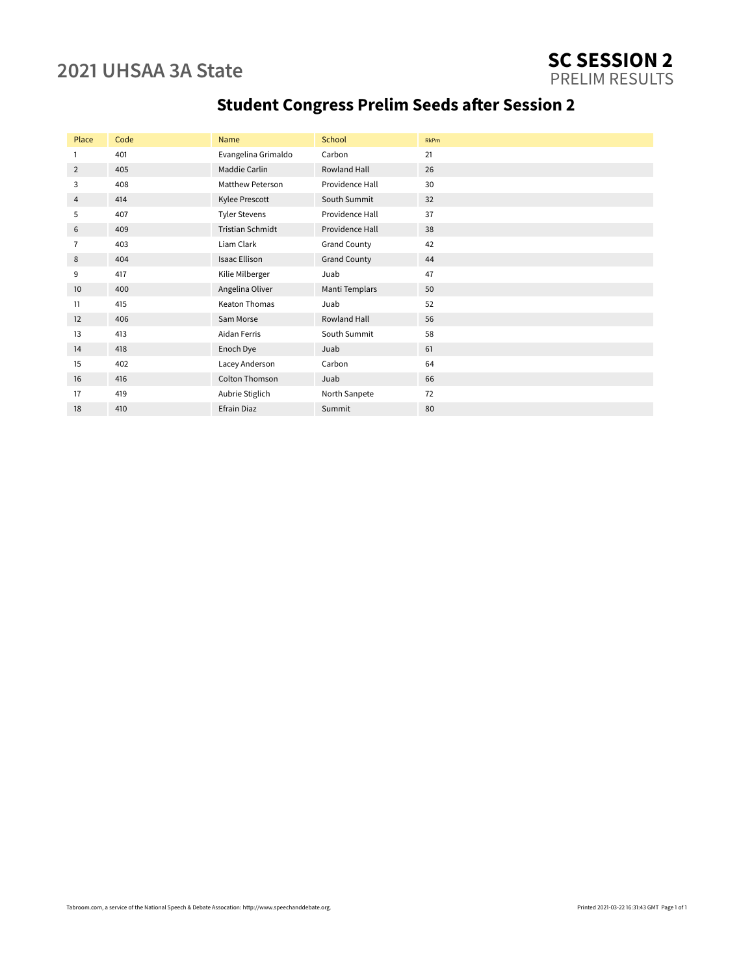### **2021 UHSAA 3A State SC SESSION 2** PRELIM RESULTS

| Place           | Code | Name                    | School              | <b>RkPm</b> |
|-----------------|------|-------------------------|---------------------|-------------|
| 1               | 401  | Evangelina Grimaldo     | Carbon              | 21          |
| 2               | 405  | Maddie Carlin           | Rowland Hall        | 26          |
| 3               | 408  | <b>Matthew Peterson</b> | Providence Hall     | 30          |
| 4               | 414  | Kylee Prescott          | South Summit        | 32          |
| 5               | 407  | <b>Tyler Stevens</b>    | Providence Hall     | 37          |
| 6               | 409  | <b>Tristian Schmidt</b> | Providence Hall     | 38          |
| 7               | 403  | Liam Clark              | <b>Grand County</b> | 42          |
| 8               | 404  | <b>Isaac Ellison</b>    | <b>Grand County</b> | 44          |
| 9               | 417  | Kilie Milberger         | Juab                | 47          |
| 10 <sup>°</sup> | 400  | Angelina Oliver         | Manti Templars      | 50          |
| 11              | 415  | <b>Keaton Thomas</b>    | Juab                | 52          |
| 12              | 406  | Sam Morse               | <b>Rowland Hall</b> | 56          |

13 413 Aidan Ferris South Summit 58 14 418 Enoch Dye Juab 61 15 402 Lacey Anderson Carbon 64 16 416 Colton Thomson Juab 66 17 419 Aubrie Stiglich North Sanpete 72 18 410 **Efrain Diaz** Summit 80

## **Student Congress Prelim Seeds after Session 2**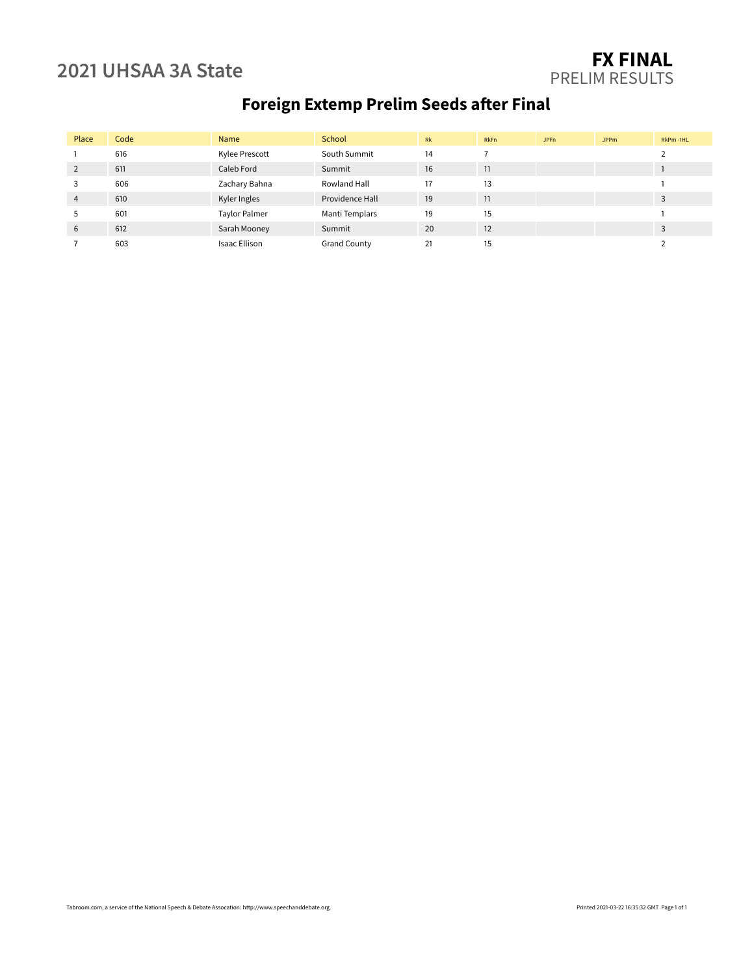### **2021 UHSAA 3A State FX FINAL** PRELIM RESULTS

# **Foreign Extemp Prelim Seeds after Final**

| Place          | Code | Name                 | School              | Rk | RkFn | JPFn | <b>JPPm</b> | RkPm-1HL |
|----------------|------|----------------------|---------------------|----|------|------|-------------|----------|
|                | 616  | Kylee Prescott       | South Summit        | 14 |      |      |             |          |
| 2              | 611  | Caleb Ford           | Summit              | 16 | 11   |      |             |          |
| 3              | 606  | Zachary Bahna        | Rowland Hall        | 17 | 13   |      |             |          |
| $\overline{4}$ | 610  | Kyler Ingles         | Providence Hall     | 19 | 11   |      |             | 3        |
| 5              | 601  | <b>Taylor Palmer</b> | Manti Templars      | 19 | 15   |      |             |          |
| 6              | 612  | Sarah Mooney         | Summit              | 20 | 12   |      |             | 3        |
|                | 603  | <b>Isaac Ellison</b> | <b>Grand County</b> | 21 | 15   |      |             |          |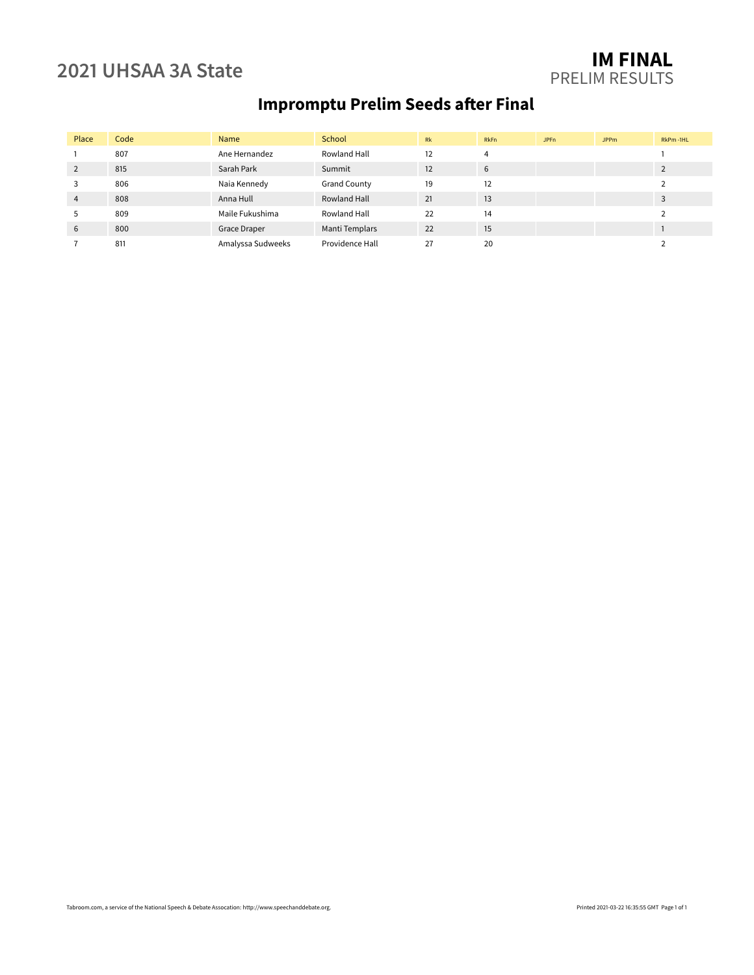### **2021 UHSAA 3A State IM FINAL** PRELIM RESULTS

# **Impromptu Prelim Seeds after Final**

| Place          | Code | Name              | School              | Rk | RkFn | <b>JPFn</b> | <b>JPPm</b> | RkPm-1HL |
|----------------|------|-------------------|---------------------|----|------|-------------|-------------|----------|
|                | 807  | Ane Hernandez     | Rowland Hall        | 12 | 4    |             |             |          |
| 2              | 815  | Sarah Park        | Summit              | 12 | 6    |             |             |          |
| 3              | 806  | Naia Kennedy      | <b>Grand County</b> | 19 | 12   |             |             |          |
| $\overline{4}$ | 808  | Anna Hull         | Rowland Hall        | 21 | 13   |             |             | 3        |
| 5              | 809  | Maile Fukushima   | Rowland Hall        | 22 | 14   |             |             |          |
| 6              | 800  | Grace Draper      | Manti Templars      | 22 | 15   |             |             |          |
|                | 811  | Amalyssa Sudweeks | Providence Hall     | 27 | 20   |             |             |          |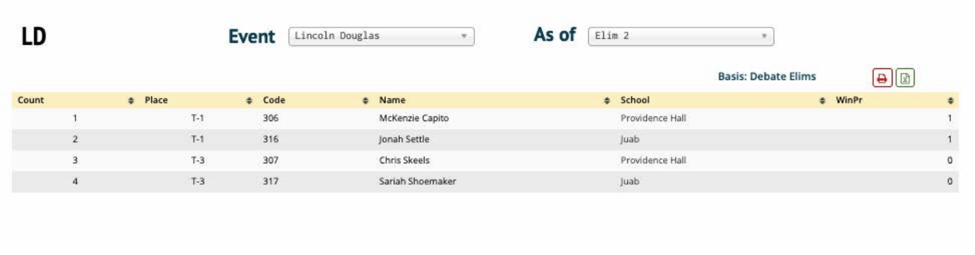





|       |         |       |        |                  | <b>Basis: Debate Elims</b> |           |            |
|-------|---------|-------|--------|------------------|----------------------------|-----------|------------|
| Count | # Place |       | # Code | # Name           | # School                   | $#$ WinPr |            |
|       |         | $T-1$ | 306    | McKenzie Capito  | Providence Hall            |           |            |
|       |         | $T-1$ | 316    | Jonah Settle     | Juab                       |           |            |
|       |         | $T-3$ | 307    | Chris Skeels     | Providence Hall            |           | 0          |
|       |         | $T-3$ | 317    | Sariah Shoemaker | Juab.                      |           | $^{\circ}$ |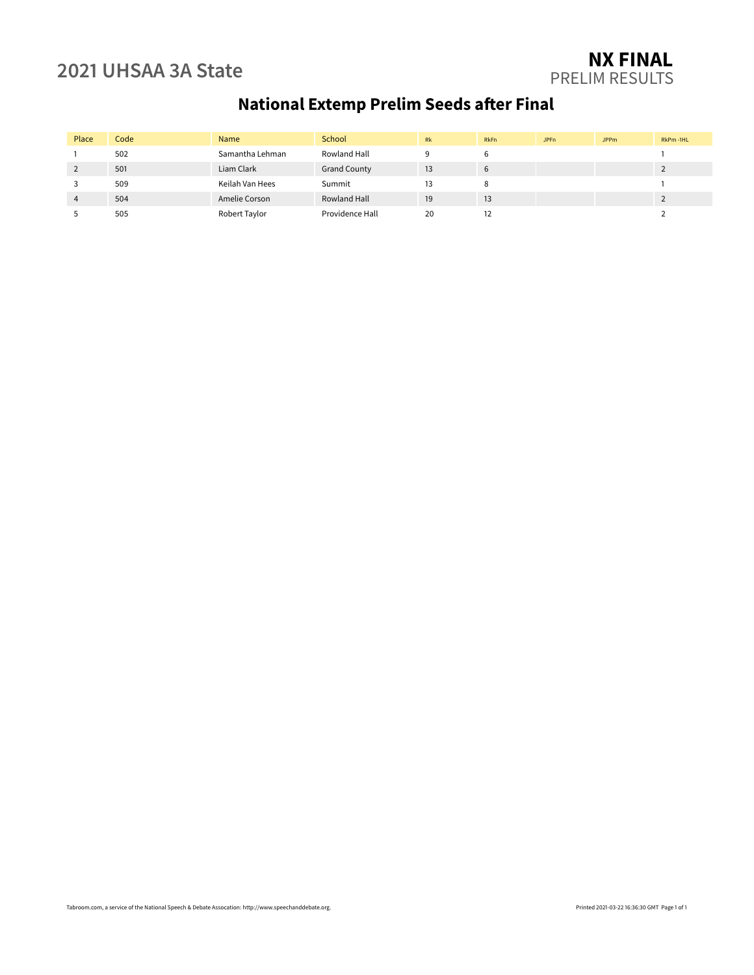### **2021 UHSAA 3A State NX FINAL** PRELIM RESULTS

# **National Extemp Prelim Seeds after Final**

| Place | Code | Name            | School              | <b>Rk</b> | <b>RkFn</b> | JPF <sub>n</sub> | <b>JPPm</b> | RkPm-1HL |
|-------|------|-----------------|---------------------|-----------|-------------|------------------|-------------|----------|
|       | 502  | Samantha Lehman | Rowland Hall        |           |             |                  |             |          |
|       | 501  | Liam Clark      | <b>Grand County</b> | 13        | 6           |                  |             |          |
|       | 509  | Keilah Van Hees | Summit              | 13        |             |                  |             |          |
| 4     | 504  | Amelie Corson   | Rowland Hall        | 19        | 13          |                  |             |          |
|       | 505  | Robert Taylor   | Providence Hall     | 20        |             |                  |             |          |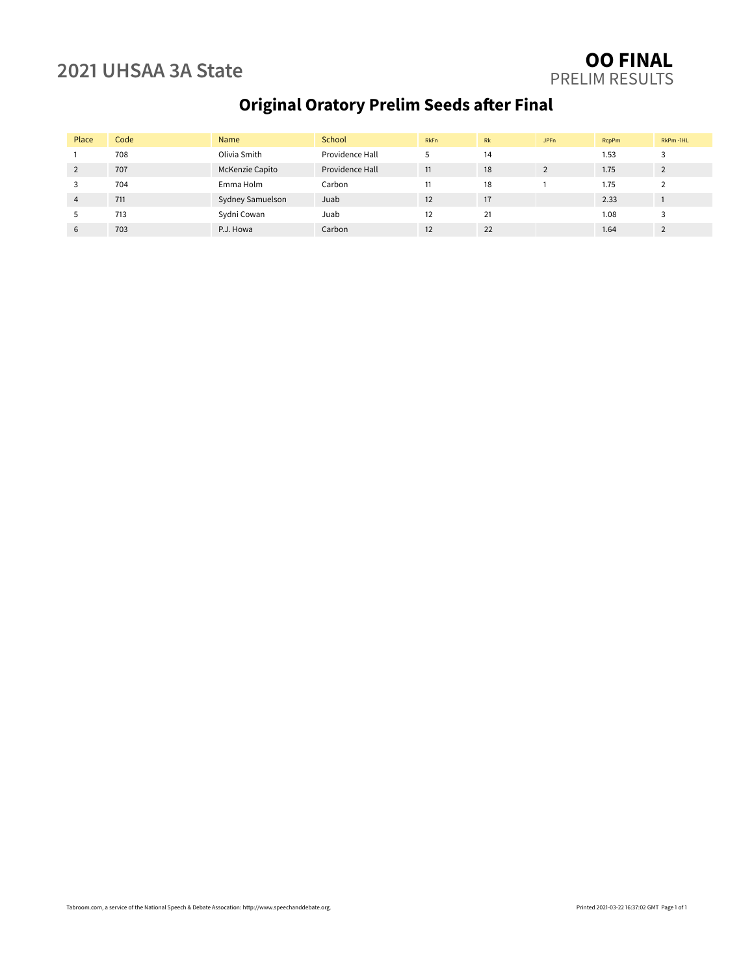### **2021 UHSAA 3A State OO FINAL** PRELIM RESULTS

## **Original Oratory Prelim Seeds after Final**

| Place          | Code | Name             | School          | <b>RkFn</b> | <b>Rk</b> | <b>JPFn</b> | <b>RcpPm</b> | RkPm-1HL |
|----------------|------|------------------|-----------------|-------------|-----------|-------------|--------------|----------|
|                | 708  | Olivia Smith     | Providence Hall |             | 14        |             | 1.53         |          |
| 2              | 707  | McKenzie Capito  | Providence Hall | 11          | 18        |             | 1.75         |          |
|                | 704  | Emma Holm        | Carbon          | 11          | 18        |             | 1.75         |          |
| $\overline{4}$ | 711  | Sydney Samuelson | Juab            | 12          | 17        |             | 2.33         |          |
|                | 713  | Sydni Cowan      | Juab            | 12          | 21        |             | 1.08         |          |
| 6              | 703  | P.J. Howa        | Carbon          | 12          | 22        |             | 1.64         |          |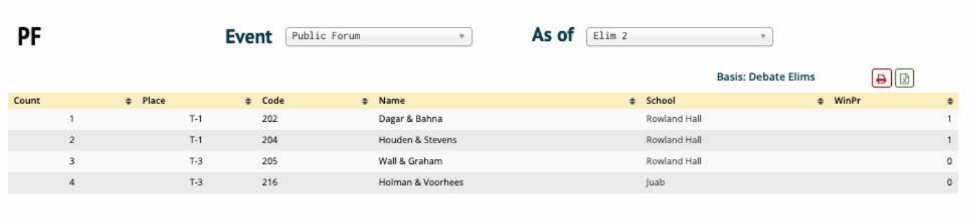

Count





|    |         |             |                   | <b>Basis: Debate Elims</b>          | Colorado de Maria<br>$\vert x \vert$ |            |
|----|---------|-------------|-------------------|-------------------------------------|--------------------------------------|------------|
|    | # Place | # Code      | # Name            | # School                            | $#$ WinPr                            |            |
|    | $T-1$   | 202         | Dagar & Bahna     | Rowland Hall                        |                                      |            |
|    | $T-1$   | 204         | Houden & Stevens  | Rowland Hall                        |                                      |            |
| -3 | $T-3$   | 205<br>---- | Wall & Graham     | Rowland Hall<br>a som andra mangara |                                      | o          |
| 4  | $T-3$   | 216         | Holman & Voorhees | Juab                                |                                      | $^{\circ}$ |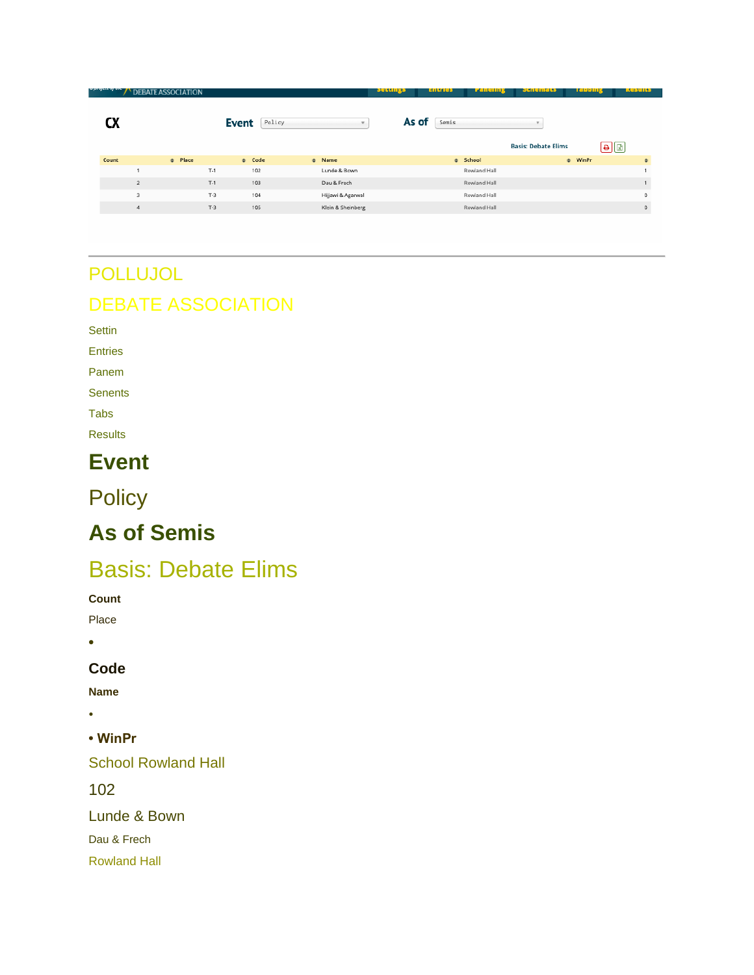| a progett og une gr | <b>DEBATE ASSOCI</b><br><b>CIATION</b> |              |        |                   | settings | <b>Entres</b> | <u>ranenny</u> | эспениев                   | чарвицу                                                                                       | Results     |
|---------------------|----------------------------------------|--------------|--------|-------------------|----------|---------------|----------------|----------------------------|-----------------------------------------------------------------------------------------------|-------------|
|                     |                                        | <b>Event</b> | Policy |                   | As of    | Semis         |                |                            |                                                                                               |             |
|                     |                                        |              |        |                   |          |               |                | <b>Basis: Debate Elims</b> | $\textcolor{red}{\textcolor{blue}{\mathbf{G}}}\textcolor{blue}{\textcolor{blue}{\mathbf{G}}}$ |             |
| Count               | # Place                                |              | # Code | # Name            |          |               | # School       |                            | $#$ WinPr                                                                                     | $\div$      |
|                     |                                        | $T-1$        | 102    | Lunde & Bown      |          |               | Rowland Hall   |                            |                                                                                               |             |
|                     | $\overline{2}$                         | $T-1$        | 103    | Dau & Frech       |          |               | Rowland Hall   |                            |                                                                                               |             |
|                     | 3                                      | $T-3$        | 104    | Hijjawi & Agarwal |          |               | Rowland Hall   |                            |                                                                                               | 0           |
|                     | 4                                      | $T-3$        | 105    | Klein & Sheinberg |          |               | Rowland Hall   |                            |                                                                                               | $\mathbf 0$ |
|                     |                                        |              |        |                   |          |               |                |                            |                                                                                               |             |

# POLLUJOL DEBATE ASSOCIATION

**EDATE ACCOCLATION** 

Settin

Entries

Panem

**Senents** 

Tabs

Results

# **Event**

**Policy** 

# **As of Semis**

# Basis: Debate Elims

**Count**

Place

**•**

### **Code**

**Name**

•

**• WinPr**

School Rowland Hall

102

Lunde & Bown

Dau & Frech

Rowland Hall